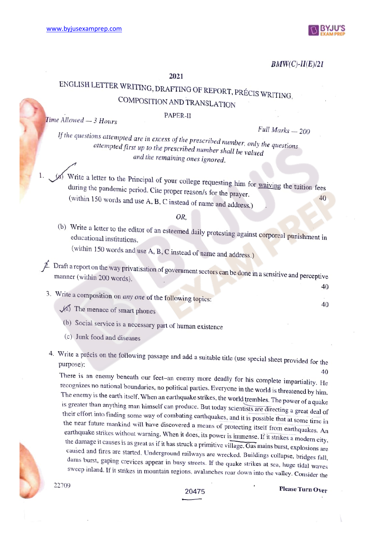

40

## $BMW(C)-II(E)/21$

### 2021

# ENGLISH LETTER WRITING, DRAFTING OF REPORT, PRÉCIS WRITING, COMPOSITION AND TRANSLATION

 $Time$  Allowed  $-3$  Hours PAPER-II

 $Full Marks - 200$ 

If the questions attempted are in excess of the prescribed number, only the questions attempted first up to the prescribed number shall be valued and the remaining ones ignored.

Write a letter to the Principal of your college requesting him for waiving the tuition fees<br>during the pandemic period. Cite proper reason/s for the prayer.<br>(within 150 words and use A, B, C instead of name and address.)

## OR

(b) Write a letter to the editor of an esteemed daily protesting against corporeal punishment in educational institutions.

(within 150 words and use A, B, C instead of name and address.)

 $\hat{P}$ . Draft a report on the way privatisation of government sectors can be done in a sensitive and perceptive manner (within 200 words).

3. Write a composition on *any one* of the following topics:  $\mathcal{A}$  The menace of smart phones 40

- 
- (6) Social service is a necessary part of human existence
- (c) Junk food and diseases
- 4. Write a précis on the following passage and add a suitable title (use special sheet provided for the purpose):

40<br>There is an enemy beneath our feet-an enemy more deadly for his complete impartiality. He recognizes no national boundaries, no political parties. Everyone in the world is threatened by him.<br>The enemy is the earth itself. When an earthquake strikes, the world trembles. The power of a quake<br>is greater than anyth dams burst, gaping crevices appear in busy streets. If the quake strikes at sea, huge tidal waves<br>sweep inland. If it strikes in mountain regions, avalanches roar down into the valley. Consider the



20475